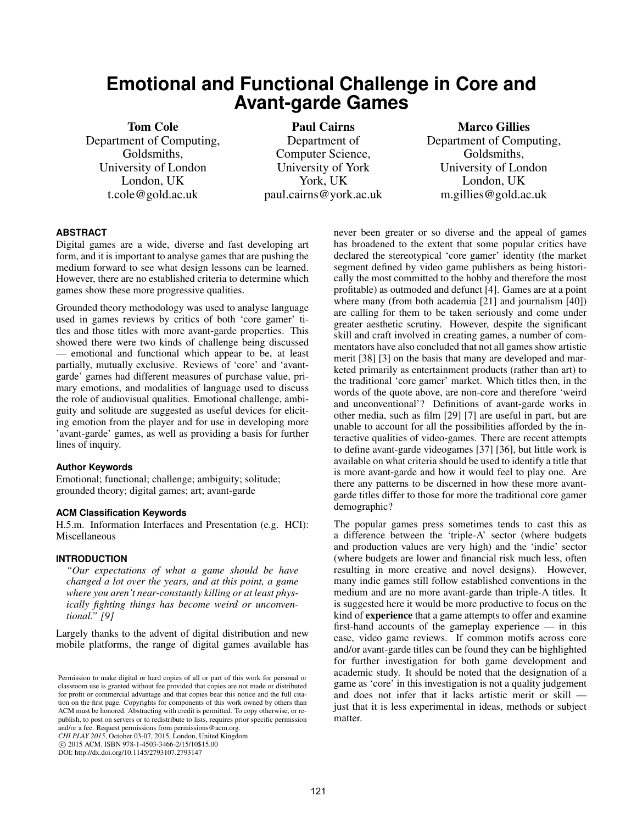# **Emotional and Functional Challenge in Core and Avant-garde Games**

Tom Cole Department of Computing, Goldsmiths, University of London London, UK t.cole@gold.ac.uk

Paul Cairns Department of Computer Science, University of York York, UK paul.cairns@york.ac.uk

Marco Gillies Department of Computing, Goldsmiths, University of London London, UK m.gillies@gold.ac.uk

### **ABSTRACT**

Digital games are a wide, diverse and fast developing art form, and it is important to analyse games that are pushing the medium forward to see what design lessons can be learned. However, there are no established criteria to determine which games show these more progressive qualities.

Grounded theory methodology was used to analyse language used in games reviews by critics of both 'core gamer' titles and those titles with more avant-garde properties. This showed there were two kinds of challenge being discussed — emotional and functional which appear to be, at least partially, mutually exclusive. Reviews of 'core' and 'avantgarde' games had different measures of purchase value, primary emotions, and modalities of language used to discuss the role of audiovisual qualities. Emotional challenge, ambiguity and solitude are suggested as useful devices for eliciting emotion from the player and for use in developing more 'avant-garde' games, as well as providing a basis for further lines of inquiry.

#### **Author Keywords**

Emotional; functional; challenge; ambiguity; solitude; grounded theory; digital games; art; avant-garde

#### **ACM Classification Keywords**

H.5.m. Information Interfaces and Presentation (e.g. HCI): Miscellaneous

#### **INTRODUCTION**

*"Our expectations of what a game should be have changed a lot over the years, and at this point, a game where you aren't near-constantly killing or at least physically fighting things has become weird or unconventional." [\[9\]](#page-4-0)*

Largely thanks to the advent of digital distribution and new mobile platforms, the range of digital games available has

c 2015 ACM. ISBN 978-1-4503-3466-2/15/10\$15.00

never been greater or so diverse and the appeal of games has broadened to the extent that some popular critics have declared the stereotypical 'core gamer' identity (the market segment defined by video game publishers as being historically the most committed to the hobby and therefore the most profitable) as outmoded and defunct [\[4\]](#page-4-1). Games are at a point where many (from both academia [\[21\]](#page-4-2) and journalism [\[40\]](#page-5-0)) are calling for them to be taken seriously and come under greater aesthetic scrutiny. However, despite the significant skill and craft involved in creating games, a number of commentators have also concluded that not all games show artistic merit [\[38\]](#page-5-1) [\[3\]](#page-4-3) on the basis that many are developed and marketed primarily as entertainment products (rather than art) to the traditional 'core gamer' market. Which titles then, in the words of the quote above, are non-core and therefore 'weird and unconventional'? Definitions of avant-garde works in other media, such as film [\[29\]](#page-5-2) [\[7\]](#page-4-4) are useful in part, but are unable to account for all the possibilities afforded by the interactive qualities of video-games. There are recent attempts to define avant-garde videogames [\[37\]](#page-5-3) [\[36\]](#page-5-4), but little work is available on what criteria should be used to identify a title that is more avant-garde and how it would feel to play one. Are there any patterns to be discerned in how these more avantgarde titles differ to those for more the traditional core gamer demographic?

The popular games press sometimes tends to cast this as a difference between the 'triple-A' sector (where budgets and production values are very high) and the 'indie' sector (where budgets are lower and financial risk much less, often resulting in more creative and novel designs). However, many indie games still follow established conventions in the medium and are no more avant-garde than triple-A titles. It is suggested here it would be more productive to focus on the kind of **experience** that a game attempts to offer and examine first-hand accounts of the gameplay experience — in this case, video game reviews. If common motifs across core and/or avant-garde titles can be found they can be highlighted for further investigation for both game development and academic study. It should be noted that the designation of a game as 'core' in this investigation is not a quality judgement and does not infer that it lacks artistic merit or skill just that it is less experimental in ideas, methods or subject matter.

Permission to make digital or hard copies of all or part of this work for personal or classroom use is granted without fee provided that copies are not made or distributed for profit or commercial advantage and that copies bear this notice and the full citation on the first page. Copyrights for components of this work owned by others than ACM must be honored. Abstracting with credit is permitted. To copy otherwise, or republish, to post on servers or to redistribute to lists, requires prior specific permission and/or a fee. Request permissions from permissions@acm.org.

*CHI PLAY 2015*, October 03-07, 2015, London, United Kingdom

DOI: http://dx.doi.org/10.1145/2793107.2793147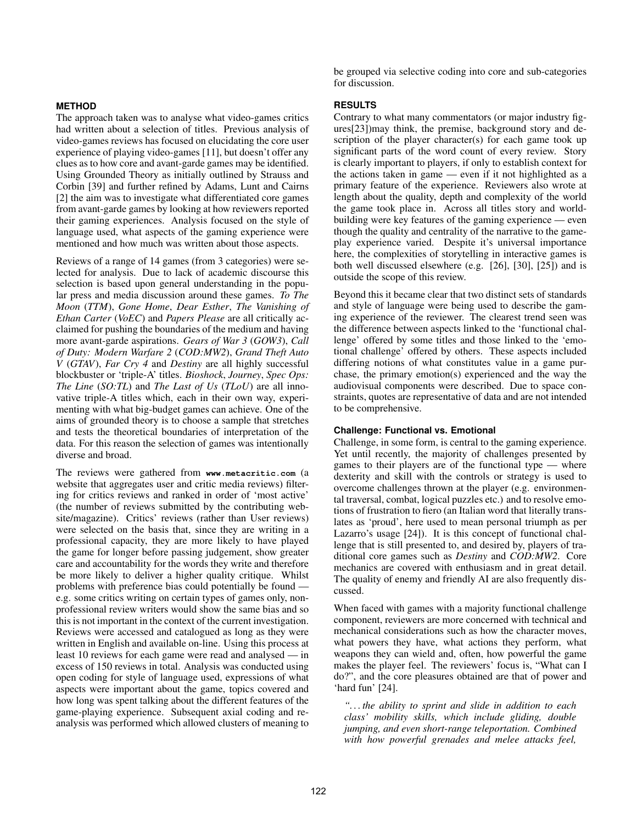# **METHOD**

The approach taken was to analyse what video-games critics had written about a selection of titles. Previous analysis of video-games reviews has focused on elucidating the core user experience of playing video-games [\[11\]](#page-4-5), but doesn't offer any clues as to how core and avant-garde games may be identified. Using Grounded Theory as initially outlined by Strauss and Corbin [\[39\]](#page-5-5) and further refined by Adams, Lunt and Cairns [\[2\]](#page-4-6) the aim was to investigate what differentiated core games from avant-garde games by looking at how reviewers reported their gaming experiences. Analysis focused on the style of language used, what aspects of the gaming experience were mentioned and how much was written about those aspects.

Reviews of a range of 14 games (from 3 categories) were selected for analysis. Due to lack of academic discourse this selection is based upon general understanding in the popular press and media discussion around these games. *To The Moon* (*TTM*), *Gone Home*, *Dear Esther*, *The Vanishing of Ethan Carter* (*VoEC*) and *Papers Please* are all critically acclaimed for pushing the boundaries of the medium and having more avant-garde aspirations. *Gears of War 3* (*GOW3*), *Call of Duty: Modern Warfare 2* (*COD:MW2*), *Grand Theft Auto V* (*GTAV*), *Far Cry 4* and *Destiny* are all highly successful blockbuster or 'triple-A' titles. *Bioshock*, *Journey*, *Spec Ops: The Line* (*SO:TL*) and *The Last of Us* (*TLoU*) are all innovative triple-A titles which, each in their own way, experimenting with what big-budget games can achieve. One of the aims of grounded theory is to choose a sample that stretches and tests the theoretical boundaries of interpretation of the data. For this reason the selection of games was intentionally diverse and broad.

The reviews were gathered from **<www.metacritic.com>** (a website that aggregates user and critic media reviews) filtering for critics reviews and ranked in order of 'most active' (the number of reviews submitted by the contributing website/magazine). Critics' reviews (rather than User reviews) were selected on the basis that, since they are writing in a professional capacity, they are more likely to have played the game for longer before passing judgement, show greater care and accountability for the words they write and therefore be more likely to deliver a higher quality critique. Whilst problems with preference bias could potentially be found e.g. some critics writing on certain types of games only, nonprofessional review writers would show the same bias and so this is not important in the context of the current investigation. Reviews were accessed and catalogued as long as they were written in English and available on-line. Using this process at least 10 reviews for each game were read and analysed — in excess of 150 reviews in total. Analysis was conducted using open coding for style of language used, expressions of what aspects were important about the game, topics covered and how long was spent talking about the different features of the game-playing experience. Subsequent axial coding and reanalysis was performed which allowed clusters of meaning to be grouped via selective coding into core and sub-categories for discussion.

### **RESULTS**

Contrary to what many commentators (or major industry figures[\[23\]](#page-4-7))may think, the premise, background story and description of the player character(s) for each game took up significant parts of the word count of every review. Story is clearly important to players, if only to establish context for the actions taken in game — even if it not highlighted as a primary feature of the experience. Reviewers also wrote at length about the quality, depth and complexity of the world the game took place in. Across all titles story and worldbuilding were key features of the gaming experience — even though the quality and centrality of the narrative to the gameplay experience varied. Despite it's universal importance here, the complexities of storytelling in interactive games is both well discussed elsewhere (e.g. [\[26\]](#page-5-6), [\[30\]](#page-5-7), [\[25\]](#page-5-8)) and is outside the scope of this review.

Beyond this it became clear that two distinct sets of standards and style of language were being used to describe the gaming experience of the reviewer. The clearest trend seen was the difference between aspects linked to the 'functional challenge' offered by some titles and those linked to the 'emotional challenge' offered by others. These aspects included differing notions of what constitutes value in a game purchase, the primary emotion(s) experienced and the way the audiovisual components were described. Due to space constraints, quotes are representative of data and are not intended to be comprehensive.

## **Challenge: Functional vs. Emotional**

Challenge, in some form, is central to the gaming experience. Yet until recently, the majority of challenges presented by games to their players are of the functional type — where dexterity and skill with the controls or strategy is used to overcome challenges thrown at the player (e.g. environmental traversal, combat, logical puzzles etc.) and to resolve emotions of frustration to fiero (an Italian word that literally translates as 'proud', here used to mean personal triumph as per Lazarro's usage [\[24\]](#page-5-9)). It is this concept of functional challenge that is still presented to, and desired by, players of traditional core games such as *Destiny* and *COD:MW2*. Core mechanics are covered with enthusiasm and in great detail. The quality of enemy and friendly AI are also frequently discussed.

When faced with games with a majority functional challenge component, reviewers are more concerned with technical and mechanical considerations such as how the character moves, what powers they have, what actions they perform, what weapons they can wield and, often, how powerful the game makes the player feel. The reviewers' focus is, "What can I do?", and the core pleasures obtained are that of power and 'hard fun' [\[24\]](#page-5-9).

*". . . the ability to sprint and slide in addition to each class' mobility skills, which include gliding, double jumping, and even short-range teleportation. Combined with how powerful grenades and melee attacks feel,*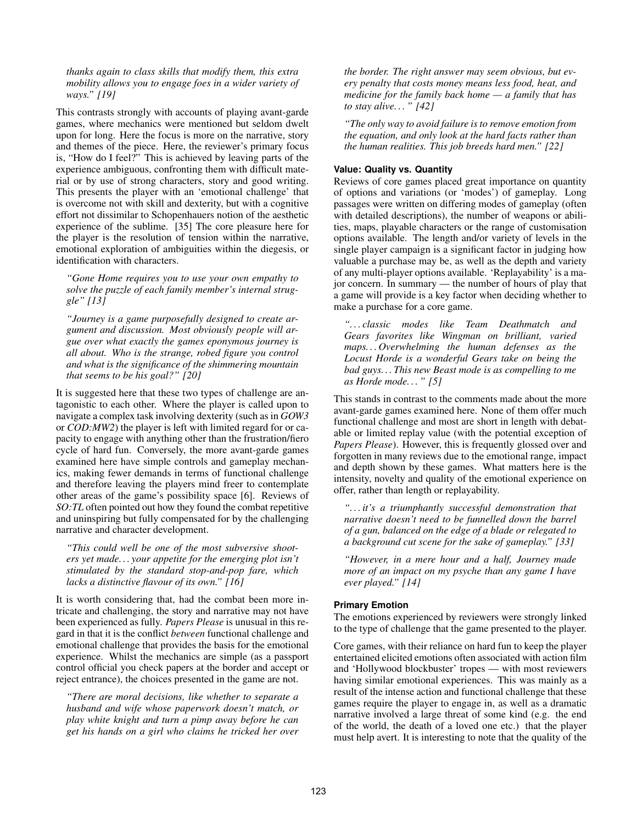*thanks again to class skills that modify them, this extra mobility allows you to engage foes in a wider variety of ways." [\[19\]](#page-4-8)*

This contrasts strongly with accounts of playing avant-garde games, where mechanics were mentioned but seldom dwelt upon for long. Here the focus is more on the narrative, story and themes of the piece. Here, the reviewer's primary focus is, "How do I feel?" This is achieved by leaving parts of the experience ambiguous, confronting them with difficult material or by use of strong characters, story and good writing. This presents the player with an 'emotional challenge' that is overcome not with skill and dexterity, but with a cognitive effort not dissimilar to Schopenhauers notion of the aesthetic experience of the sublime. [\[35\]](#page-5-10) The core pleasure here for the player is the resolution of tension within the narrative, emotional exploration of ambiguities within the diegesis, or identification with characters.

*"Gone Home requires you to use your own empathy to solve the puzzle of each family member's internal struggle" [\[13\]](#page-4-9)*

*"Journey is a game purposefully designed to create argument and discussion. Most obviously people will argue over what exactly the games eponymous journey is all about. Who is the strange, robed figure you control and what is the significance of the shimmering mountain that seems to be his goal?" [\[20\]](#page-4-10)*

It is suggested here that these two types of challenge are antagonistic to each other. Where the player is called upon to navigate a complex task involving dexterity (such as in *GOW3* or *COD:MW2*) the player is left with limited regard for or capacity to engage with anything other than the frustration/fiero cycle of hard fun. Conversely, the more avant-garde games examined here have simple controls and gameplay mechanics, making fewer demands in terms of functional challenge and therefore leaving the players mind freer to contemplate other areas of the game's possibility space [\[6\]](#page-4-11). Reviews of *SO:TL* often pointed out how they found the combat repetitive and uninspiring but fully compensated for by the challenging narrative and character development.

*"This could well be one of the most subversive shooters yet made. . . your appetite for the emerging plot isn't stimulated by the standard stop-and-pop fare, which lacks a distinctive flavour of its own." [\[16\]](#page-4-12)*

It is worth considering that, had the combat been more intricate and challenging, the story and narrative may not have been experienced as fully. *Papers Please* is unusual in this regard in that it is the conflict *between* functional challenge and emotional challenge that provides the basis for the emotional experience. Whilst the mechanics are simple (as a passport control official you check papers at the border and accept or reject entrance), the choices presented in the game are not.

*"There are moral decisions, like whether to separate a husband and wife whose paperwork doesn't match, or play white knight and turn a pimp away before he can get his hands on a girl who claims he tricked her over* *the border. The right answer may seem obvious, but every penalty that costs money means less food, heat, and medicine for the family back home — a family that has to stay alive. . . " [\[42\]](#page-5-11)*

*"The only way to avoid failure is to remove emotion from the equation, and only look at the hard facts rather than the human realities. This job breeds hard men." [\[22\]](#page-4-13)*

## **Value: Quality vs. Quantity**

Reviews of core games placed great importance on quantity of options and variations (or 'modes') of gameplay. Long passages were written on differing modes of gameplay (often with detailed descriptions), the number of weapons or abilities, maps, playable characters or the range of customisation options available. The length and/or variety of levels in the single player campaign is a significant factor in judging how valuable a purchase may be, as well as the depth and variety of any multi-player options available. 'Replayability' is a major concern. In summary — the number of hours of play that a game will provide is a key factor when deciding whether to make a purchase for a core game.

*". . . classic modes like Team Deathmatch and Gears favorites like Wingman on brilliant, varied maps. . . Overwhelming the human defenses as the Locust Horde is a wonderful Gears take on being the bad guys. . . This new Beast mode is as compelling to me as Horde mode. . . " [\[5\]](#page-4-14)*

This stands in contrast to the comments made about the more avant-garde games examined here. None of them offer much functional challenge and most are short in length with debatable or limited replay value (with the potential exception of *Papers Please*). However, this is frequently glossed over and forgotten in many reviews due to the emotional range, impact and depth shown by these games. What matters here is the intensity, novelty and quality of the emotional experience on offer, rather than length or replayability.

*". . . it's a triumphantly successful demonstration that narrative doesn't need to be funnelled down the barrel of a gun, balanced on the edge of a blade or relegated to a background cut scene for the sake of gameplay." [\[33\]](#page-5-12)*

*"However, in a mere hour and a half, Journey made more of an impact on my psyche than any game I have ever played." [\[14\]](#page-4-15)*

#### **Primary Emotion**

The emotions experienced by reviewers were strongly linked to the type of challenge that the game presented to the player.

Core games, with their reliance on hard fun to keep the player entertained elicited emotions often associated with action film and 'Hollywood blockbuster' tropes — with most reviewers having similar emotional experiences. This was mainly as a result of the intense action and functional challenge that these games require the player to engage in, as well as a dramatic narrative involved a large threat of some kind (e.g. the end of the world, the death of a loved one etc.) that the player must help avert. It is interesting to note that the quality of the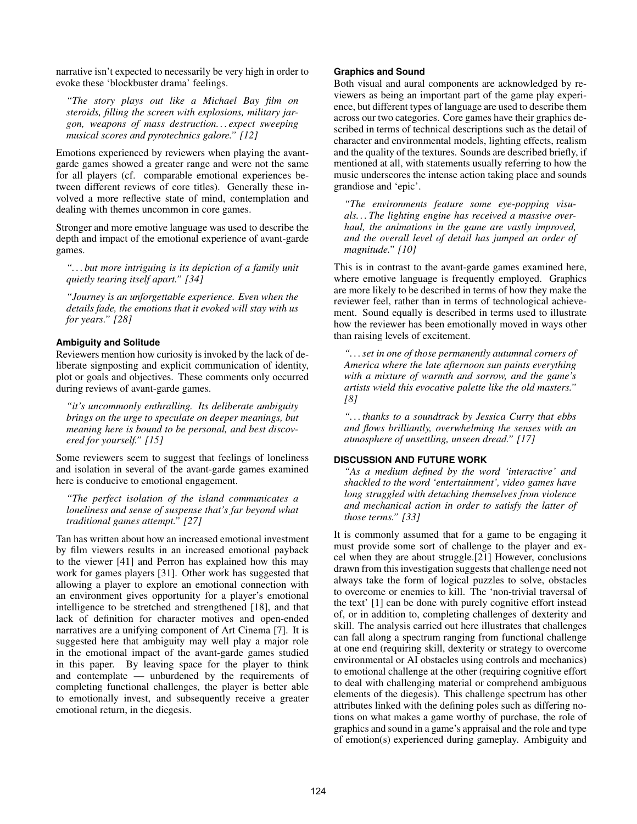narrative isn't expected to necessarily be very high in order to evoke these 'blockbuster drama' feelings.

*"The story plays out like a Michael Bay film on steroids, filling the screen with explosions, military jargon, weapons of mass destruction. . . expect sweeping musical scores and pyrotechnics galore." [\[12\]](#page-4-16)*

Emotions experienced by reviewers when playing the avantgarde games showed a greater range and were not the same for all players (cf. comparable emotional experiences between different reviews of core titles). Generally these involved a more reflective state of mind, contemplation and dealing with themes uncommon in core games.

Stronger and more emotive language was used to describe the depth and impact of the emotional experience of avant-garde games.

*". . . but more intriguing is its depiction of a family unit quietly tearing itself apart." [\[34\]](#page-5-13)*

*"Journey is an unforgettable experience. Even when the details fade, the emotions that it evoked will stay with us for years." [\[28\]](#page-5-14)*

### **Ambiguity and Solitude**

Reviewers mention how curiosity is invoked by the lack of deliberate signposting and explicit communication of identity, plot or goals and objectives. These comments only occurred during reviews of avant-garde games.

*"it's uncommonly enthralling. Its deliberate ambiguity brings on the urge to speculate on deeper meanings, but meaning here is bound to be personal, and best discovered for yourself." [\[15\]](#page-4-17)*

Some reviewers seem to suggest that feelings of loneliness and isolation in several of the avant-garde games examined here is conducive to emotional engagement.

*"The perfect isolation of the island communicates a loneliness and sense of suspense that's far beyond what traditional games attempt." [\[27\]](#page-5-15)*

Tan has written about how an increased emotional investment by film viewers results in an increased emotional payback to the viewer [\[41\]](#page-5-16) and Perron has explained how this may work for games players [\[31\]](#page-5-17). Other work has suggested that allowing a player to explore an emotional connection with an environment gives opportunity for a player's emotional intelligence to be stretched and strengthened [\[18\]](#page-4-18), and that lack of definition for character motives and open-ended narratives are a unifying component of Art Cinema [\[7\]](#page-4-4). It is suggested here that ambiguity may well play a major role in the emotional impact of the avant-garde games studied in this paper. By leaving space for the player to think and contemplate — unburdened by the requirements of completing functional challenges, the player is better able to emotionally invest, and subsequently receive a greater emotional return, in the diegesis.

## **Graphics and Sound**

Both visual and aural components are acknowledged by reviewers as being an important part of the game play experience, but different types of language are used to describe them across our two categories. Core games have their graphics described in terms of technical descriptions such as the detail of character and environmental models, lighting effects, realism and the quality of the textures. Sounds are described briefly, if mentioned at all, with statements usually referring to how the music underscores the intense action taking place and sounds grandiose and 'epic'.

*"The environments feature some eye-popping visuals. . . The lighting engine has received a massive overhaul, the animations in the game are vastly improved, and the overall level of detail has jumped an order of magnitude." [\[10\]](#page-4-19)*

This is in contrast to the avant-garde games examined here, where emotive language is frequently employed. Graphics are more likely to be described in terms of how they make the reviewer feel, rather than in terms of technological achievement. Sound equally is described in terms used to illustrate how the reviewer has been emotionally moved in ways other than raising levels of excitement.

*". . . set in one of those permanently autumnal corners of America where the late afternoon sun paints everything with a mixture of warmth and sorrow, and the game's artists wield this evocative palette like the old masters." [\[8\]](#page-4-20)*

*". . . thanks to a soundtrack by Jessica Curry that ebbs and flows brilliantly, overwhelming the senses with an atmosphere of unsettling, unseen dread." [\[17\]](#page-4-21)*

# **DISCUSSION AND FUTURE WORK**

*"As a medium defined by the word 'interactive' and shackled to the word 'entertainment', video games have long struggled with detaching themselves from violence and mechanical action in order to satisfy the latter of those terms." [\[33\]](#page-5-12)*

It is commonly assumed that for a game to be engaging it must provide some sort of challenge to the player and excel when they are about struggle.[\[21\]](#page-4-2) However, conclusions drawn from this investigation suggests that challenge need not always take the form of logical puzzles to solve, obstacles to overcome or enemies to kill. The 'non-trivial traversal of the text' [\[1\]](#page-4-22) can be done with purely cognitive effort instead of, or in addition to, completing challenges of dexterity and skill. The analysis carried out here illustrates that challenges can fall along a spectrum ranging from functional challenge at one end (requiring skill, dexterity or strategy to overcome environmental or AI obstacles using controls and mechanics) to emotional challenge at the other (requiring cognitive effort to deal with challenging material or comprehend ambiguous elements of the diegesis). This challenge spectrum has other attributes linked with the defining poles such as differing notions on what makes a game worthy of purchase, the role of graphics and sound in a game's appraisal and the role and type of emotion(s) experienced during gameplay. Ambiguity and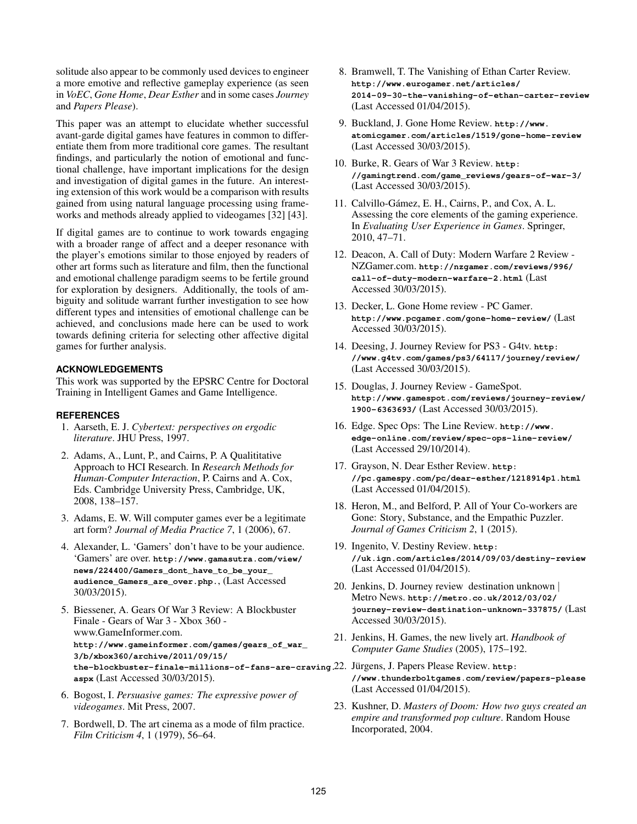solitude also appear to be commonly used devices to engineer a more emotive and reflective gameplay experience (as seen in *VoEC*, *Gone Home*, *Dear Esther* and in some cases *Journey* and *Papers Please*).

This paper was an attempt to elucidate whether successful avant-garde digital games have features in common to differentiate them from more traditional core games. The resultant findings, and particularly the notion of emotional and functional challenge, have important implications for the design and investigation of digital games in the future. An interesting extension of this work would be a comparison with results gained from using natural language processing using frameworks and methods already applied to videogames [\[32\]](#page-5-18) [\[43\]](#page-5-19).

If digital games are to continue to work towards engaging with a broader range of affect and a deeper resonance with the player's emotions similar to those enjoyed by readers of other art forms such as literature and film, then the functional and emotional challenge paradigm seems to be fertile ground for exploration by designers. Additionally, the tools of ambiguity and solitude warrant further investigation to see how different types and intensities of emotional challenge can be achieved, and conclusions made here can be used to work towards defining criteria for selecting other affective digital games for further analysis.

# **ACKNOWLEDGEMENTS**

This work was supported by the EPSRC Centre for Doctoral Training in Intelligent Games and Game Intelligence.

## <span id="page-4-22"></span>**REFERENCES**

- 1. Aarseth, E. J. *Cybertext: perspectives on ergodic literature*. JHU Press, 1997.
- <span id="page-4-6"></span>2. Adams, A., Lunt, P., and Cairns, P. A Qualititative Approach to HCI Research. In *Research Methods for Human-Computer Interaction*, P. Cairns and A. Cox, Eds. Cambridge University Press, Cambridge, UK, 2008, 138–157.
- <span id="page-4-3"></span>3. Adams, E. W. Will computer games ever be a legitimate art form? *Journal of Media Practice 7*, 1 (2006), 67.
- <span id="page-4-1"></span>4. Alexander, L. 'Gamers' don't have to be your audience. 'Gamers' are over. **[http://www.gamasutra.com/view/](http://www.gamasutra.com/view/news/224400/Gamers_dont_have_to_be_your_audience_Gamers_are_over.php.) [news/224400/Gamers\\_dont\\_have\\_to\\_be\\_your\\_](http://www.gamasutra.com/view/news/224400/Gamers_dont_have_to_be_your_audience_Gamers_are_over.php.) [audience\\_Gamers\\_are\\_over.php.](http://www.gamasutra.com/view/news/224400/Gamers_dont_have_to_be_your_audience_Gamers_are_over.php.)**, (Last Accessed 30/03/2015).
- <span id="page-4-14"></span>5. Biessener, A. Gears Of War 3 Review: A Blockbuster Finale - Gears of War 3 - Xbox 360 www.GameInformer.com. **[http://www.gameinformer.com/games/gears\\_of\\_war\\_](http://www.gameinformer.com/games/gears_of_war_3/b/xbox360/archive/2011/09/15/the-blockbuster-finale-millions-of-fans-are-craving.aspx) [3/b/xbox360/archive/2011/09/15/](http://www.gameinformer.com/games/gears_of_war_3/b/xbox360/archive/2011/09/15/the-blockbuster-finale-millions-of-fans-are-craving.aspx) [the-blockbuster-finale-millions-of-fans-are-cra](http://www.gameinformer.com/games/gears_of_war_3/b/xbox360/archive/2011/09/15/the-blockbuster-finale-millions-of-fans-are-craving.aspx)ving.** 22. Jurgens, J. Papers Please Review. ¨ **[http:](http://www.thunderboltgames.com/review/papers-please) [aspx](http://www.gameinformer.com/games/gears_of_war_3/b/xbox360/archive/2011/09/15/the-blockbuster-finale-millions-of-fans-are-craving.aspx)** (Last Accessed 30/03/2015).
- <span id="page-4-11"></span>6. Bogost, I. *Persuasive games: The expressive power of videogames*. Mit Press, 2007.
- <span id="page-4-4"></span>7. Bordwell, D. The art cinema as a mode of film practice. *Film Criticism 4*, 1 (1979), 56–64.
- <span id="page-4-20"></span>8. Bramwell, T. The Vanishing of Ethan Carter Review. **[http://www.eurogamer.net/articles/](http://www.eurogamer.net/articles/2014-09-30-the-vanishing-of-ethan-carter-review) [2014-09-30-the-vanishing-of-ethan-carter-review](http://www.eurogamer.net/articles/2014-09-30-the-vanishing-of-ethan-carter-review)** (Last Accessed 01/04/2015).
- <span id="page-4-0"></span>9. Buckland, J. Gone Home Review. **[http://www.](http://www.atomicgamer.com/articles/1519/gone-home-review) [atomicgamer.com/articles/1519/gone-home-review](http://www.atomicgamer.com/articles/1519/gone-home-review)** (Last Accessed 30/03/2015).
- <span id="page-4-19"></span>10. Burke, R. Gears of War 3 Review. **[http:](http://gamingtrend.com/game_reviews/gears-of-war-3/) [//gamingtrend.com/game\\_reviews/gears-of-war-3/](http://gamingtrend.com/game_reviews/gears-of-war-3/)** (Last Accessed 30/03/2015).
- <span id="page-4-5"></span>11. Calvillo-Gamez, E. H., Cairns, P., and Cox, A. L. ´ Assessing the core elements of the gaming experience. In *Evaluating User Experience in Games*. Springer, 2010, 47–71.
- <span id="page-4-16"></span>12. Deacon, A. Call of Duty: Modern Warfare 2 Review - NZGamer.com. **[http://nzgamer.com/reviews/996/](http://nzgamer.com/reviews/996/call-of-duty-modern-warfare-2.html) [call-of-duty-modern-warfare-2.html](http://nzgamer.com/reviews/996/call-of-duty-modern-warfare-2.html)** (Last Accessed 30/03/2015).
- <span id="page-4-9"></span>13. Decker, L. Gone Home review - PC Gamer. **<http://www.pcgamer.com/gone-home-review/>** (Last Accessed 30/03/2015).
- <span id="page-4-15"></span>14. Deesing, J. Journey Review for PS3 - G4tv. **[http:](http://www.g4tv.com/games/ps3/64117/journey/review/) [//www.g4tv.com/games/ps3/64117/journey/review/](http://www.g4tv.com/games/ps3/64117/journey/review/)** (Last Accessed 30/03/2015).
- <span id="page-4-17"></span>15. Douglas, J. Journey Review - GameSpot. **[http://www.gamespot.com/reviews/journey-review/](http://www.gamespot.com/reviews/journey-review/1900-6363693/) [1900-6363693/](http://www.gamespot.com/reviews/journey-review/1900-6363693/)** (Last Accessed 30/03/2015).
- <span id="page-4-12"></span>16. Edge. Spec Ops: The Line Review. **[http://www.](http://www.edge-online.com/review/spec-ops-line-review/) [edge-online.com/review/spec-ops-line-review/](http://www.edge-online.com/review/spec-ops-line-review/)** (Last Accessed 29/10/2014).
- <span id="page-4-21"></span>17. Grayson, N. Dear Esther Review. **[http:](http://pc.gamespy.com/pc/dear-esther/1218914p1.html) [//pc.gamespy.com/pc/dear-esther/1218914p1.html](http://pc.gamespy.com/pc/dear-esther/1218914p1.html)** (Last Accessed 01/04/2015).
- <span id="page-4-18"></span>18. Heron, M., and Belford, P. All of Your Co-workers are Gone: Story, Substance, and the Empathic Puzzler. *Journal of Games Criticism 2*, 1 (2015).
- <span id="page-4-8"></span>19. Ingenito, V. Destiny Review. **[http:](http://uk.ign.com/articles/2014/09/03/destiny-review) [//uk.ign.com/articles/2014/09/03/destiny-review](http://uk.ign.com/articles/2014/09/03/destiny-review)** (Last Accessed 01/04/2015).
- <span id="page-4-10"></span>20. Jenkins, D. Journey review destination unknown | Metro News. **[http://metro.co.uk/2012/03/02/](http://metro.co.uk/2012/03/02/journey-review-destination-unknown-337875/) [journey-review-destination-unknown-337875/](http://metro.co.uk/2012/03/02/journey-review-destination-unknown-337875/)** (Last Accessed 30/03/2015).
- <span id="page-4-2"></span>21. Jenkins, H. Games, the new lively art. *Handbook of Computer Game Studies* (2005), 175–192.
- <span id="page-4-13"></span>**[//www.thunderboltgames.com/review/papers-please](http://www.thunderboltgames.com/review/papers-please)** (Last Accessed 01/04/2015).
- <span id="page-4-7"></span>23. Kushner, D. *Masters of Doom: How two guys created an empire and transformed pop culture*. Random House Incorporated, 2004.